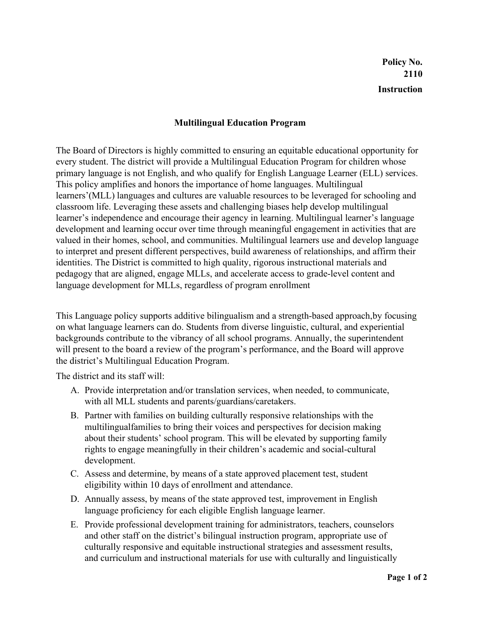## **Multilingual Education Program**

The Board of Directors is highly committed to ensuring an equitable educational opportunity for every student. The district will provide a Multilingual Education Program for children whose primary language is not English, and who qualify for English Language Learner (ELL) services. This policy amplifies and honors the importance of home languages. Multilingual learners'(MLL) languages and cultures are valuable resources to be leveraged for schooling and classroom life. Leveraging these assets and challenging biases help develop multilingual learner's independence and encourage their agency in learning. Multilingual learner's language development and learning occur over time through meaningful engagement in activities that are valued in their homes, school, and communities. Multilingual learners use and develop language to interpret and present different perspectives, build awareness of relationships, and affirm their identities. The District is committed to high quality, rigorous instructional materials and pedagogy that are aligned, engage MLLs, and accelerate access to grade-level content and language development for MLLs, regardless of program enrollment

This Language policy supports additive bilingualism and a strength-based approach,by focusing on what language learners can do. Students from diverse linguistic, cultural, and experiential backgrounds contribute to the vibrancy of all school programs. Annually, the superintendent will present to the board a review of the program's performance, and the Board will approve the district's Multilingual Education Program.

The district and its staff will:

- A. Provide interpretation and/or translation services, when needed, to communicate, with all MLL students and parents/guardians/caretakers.
- B. Partner with families on building culturally responsive relationships with the multilingualfamilies to bring their voices and perspectives for decision making about their students' school program. This will be elevated by supporting family rights to engage meaningfully in their children's academic and social-cultural development.
- C. Assess and determine, by means of a state approved placement test, student eligibility within 10 days of enrollment and attendance.
- D. Annually assess, by means of the state approved test, improvement in English language proficiency for each eligible English language learner.
- E. Provide professional development training for administrators, teachers, counselors and other staff on the district's bilingual instruction program, appropriate use of culturally responsive and equitable instructional strategies and assessment results, and curriculum and instructional materials for use with culturally and linguistically